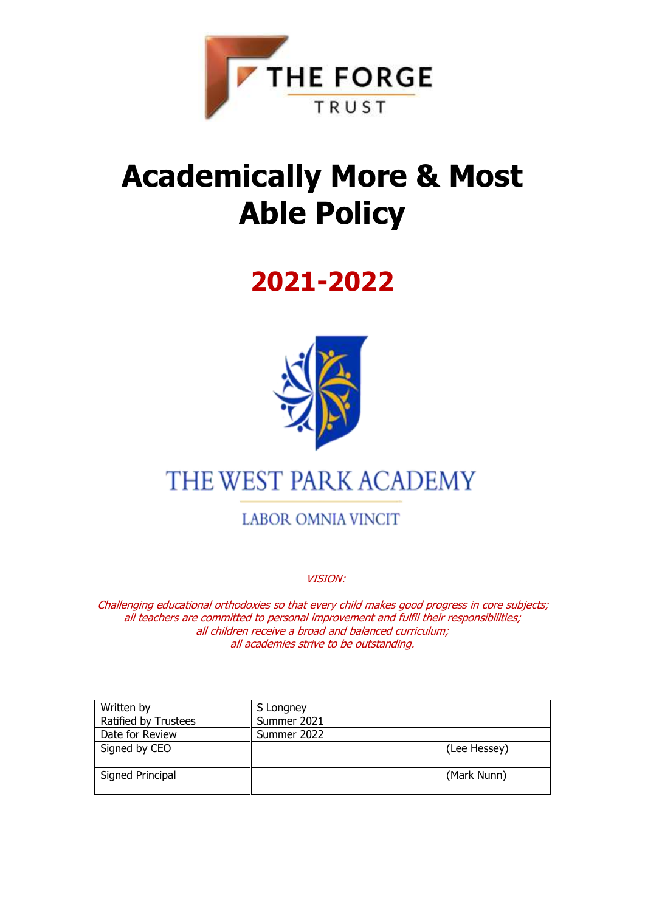

## **Academically More & Most Able Policy**

## **2021-2022**



## THE WEST PARK ACADEMY

**LABOR OMNIA VINCIT** 

VISION:

Challenging educational orthodoxies so that every child makes good progress in core subjects; all teachers are committed to personal improvement and fulfil their responsibilities; all children receive a broad and balanced curriculum; all academies strive to be outstanding.

| Written by           | S Longney    |
|----------------------|--------------|
| Ratified by Trustees | Summer 2021  |
| Date for Review      | Summer 2022  |
| Signed by CEO        | (Lee Hessey) |
| Signed Principal     | (Mark Nunn)  |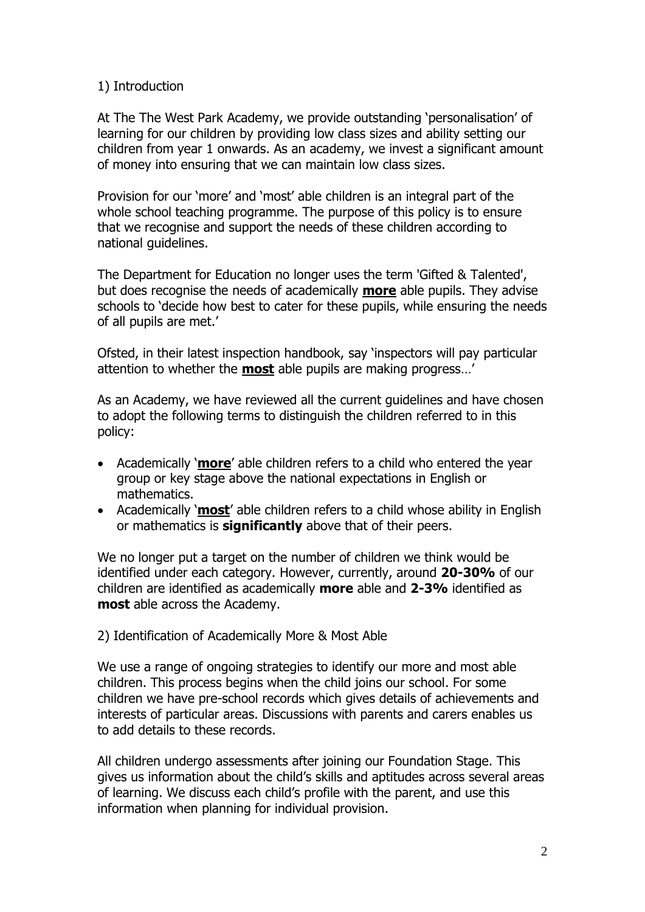## 1) Introduction

At The The West Park Academy, we provide outstanding 'personalisation' of learning for our children by providing low class sizes and ability setting our children from year 1 onwards. As an academy, we invest a significant amount of money into ensuring that we can maintain low class sizes.

Provision for our 'more' and 'most' able children is an integral part of the whole school teaching programme. The purpose of this policy is to ensure that we recognise and support the needs of these children according to national guidelines.

The Department for Education no longer uses the term 'Gifted & Talented', but does recognise the needs of academically **more** able pupils. They advise schools to 'decide how best to cater for these pupils, while ensuring the needs of all pupils are met.'

Ofsted, in their latest inspection handbook, say 'inspectors will pay particular attention to whether the **most** able pupils are making progress…'

As an Academy, we have reviewed all the current guidelines and have chosen to adopt the following terms to distinguish the children referred to in this policy:

- Academically '**more**' able children refers to a child who entered the year group or key stage above the national expectations in English or mathematics.
- Academically '**most**' able children refers to a child whose ability in English or mathematics is **significantly** above that of their peers.

We no longer put a target on the number of children we think would be identified under each category. However, currently, around **20-30%** of our children are identified as academically **more** able and **2-3%** identified as **most** able across the Academy.

2) Identification of Academically More & Most Able

We use a range of ongoing strategies to identify our more and most able children. This process begins when the child joins our school. For some children we have pre-school records which gives details of achievements and interests of particular areas. Discussions with parents and carers enables us to add details to these records.

All children undergo assessments after joining our Foundation Stage. This gives us information about the child's skills and aptitudes across several areas of learning. We discuss each child's profile with the parent, and use this information when planning for individual provision.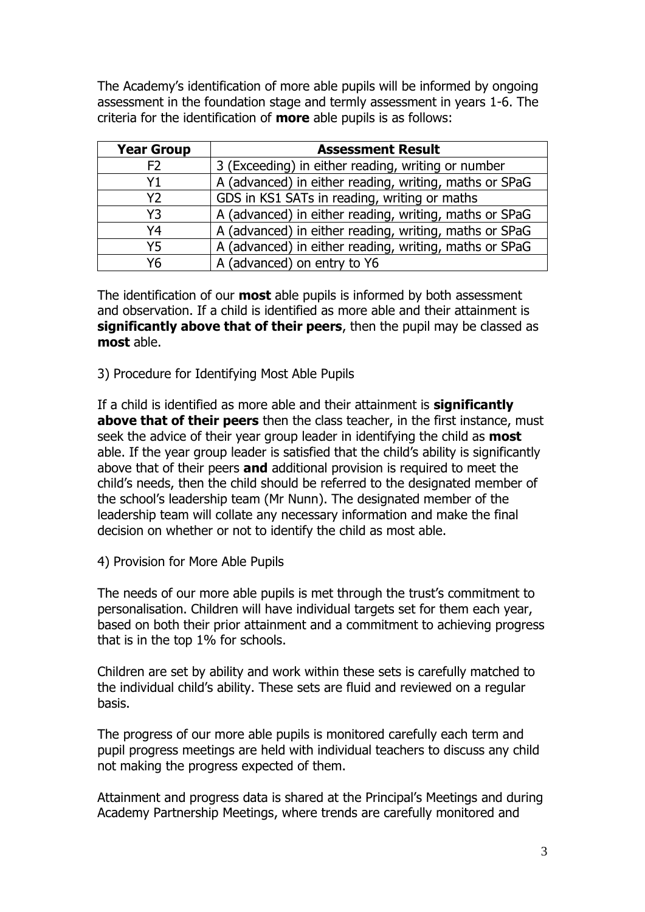The Academy's identification of more able pupils will be informed by ongoing assessment in the foundation stage and termly assessment in years 1-6. The criteria for the identification of **more** able pupils is as follows:

| <b>Year Group</b> | <b>Assessment Result</b>                               |
|-------------------|--------------------------------------------------------|
| F <sub>2</sub>    | 3 (Exceeding) in either reading, writing or number     |
| Υ1                | A (advanced) in either reading, writing, maths or SPaG |
| <b>Y2</b>         | GDS in KS1 SATs in reading, writing or maths           |
| Y3                | A (advanced) in either reading, writing, maths or SPaG |
| Υ4                | A (advanced) in either reading, writing, maths or SPaG |
| Y5                | A (advanced) in either reading, writing, maths or SPaG |
| Υ6                | A (advanced) on entry to Y6                            |

The identification of our **most** able pupils is informed by both assessment and observation. If a child is identified as more able and their attainment is **significantly above that of their peers**, then the pupil may be classed as **most** able.

3) Procedure for Identifying Most Able Pupils

If a child is identified as more able and their attainment is **significantly above that of their peers** then the class teacher, in the first instance, must seek the advice of their year group leader in identifying the child as **most** able. If the year group leader is satisfied that the child's ability is significantly above that of their peers **and** additional provision is required to meet the child's needs, then the child should be referred to the designated member of the school's leadership team (Mr Nunn). The designated member of the leadership team will collate any necessary information and make the final decision on whether or not to identify the child as most able.

4) Provision for More Able Pupils

The needs of our more able pupils is met through the trust's commitment to personalisation. Children will have individual targets set for them each year, based on both their prior attainment and a commitment to achieving progress that is in the top 1% for schools.

Children are set by ability and work within these sets is carefully matched to the individual child's ability. These sets are fluid and reviewed on a regular basis.

The progress of our more able pupils is monitored carefully each term and pupil progress meetings are held with individual teachers to discuss any child not making the progress expected of them.

Attainment and progress data is shared at the Principal's Meetings and during Academy Partnership Meetings, where trends are carefully monitored and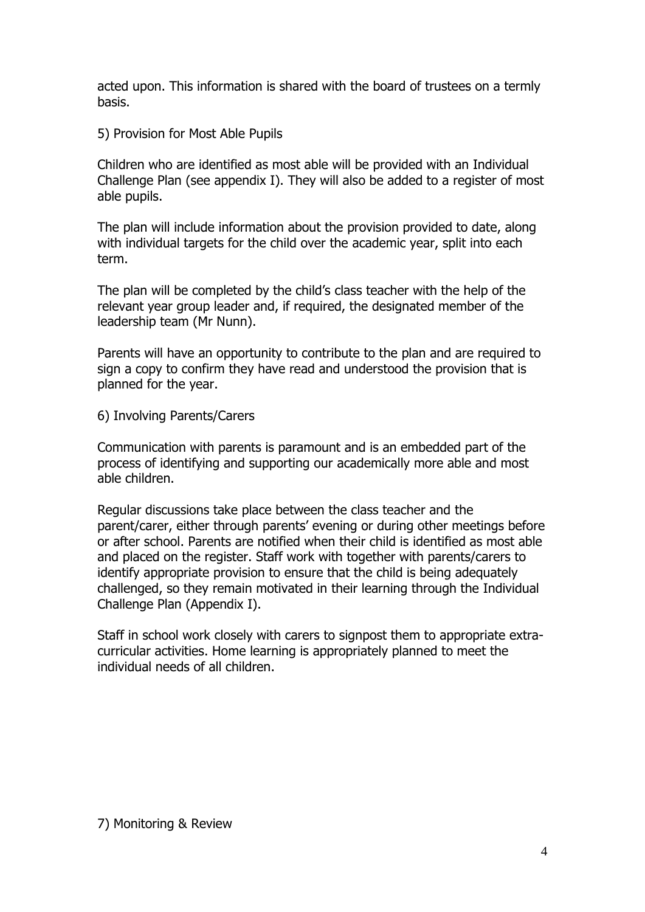acted upon. This information is shared with the board of trustees on a termly basis.

5) Provision for Most Able Pupils

Children who are identified as most able will be provided with an Individual Challenge Plan (see appendix I). They will also be added to a register of most able pupils.

The plan will include information about the provision provided to date, along with individual targets for the child over the academic year, split into each term.

The plan will be completed by the child's class teacher with the help of the relevant year group leader and, if required, the designated member of the leadership team (Mr Nunn).

Parents will have an opportunity to contribute to the plan and are required to sign a copy to confirm they have read and understood the provision that is planned for the year.

6) Involving Parents/Carers

Communication with parents is paramount and is an embedded part of the process of identifying and supporting our academically more able and most able children.

Regular discussions take place between the class teacher and the parent/carer, either through parents' evening or during other meetings before or after school. Parents are notified when their child is identified as most able and placed on the register. Staff work with together with parents/carers to identify appropriate provision to ensure that the child is being adequately challenged, so they remain motivated in their learning through the Individual Challenge Plan (Appendix I).

Staff in school work closely with carers to signpost them to appropriate extracurricular activities. Home learning is appropriately planned to meet the individual needs of all children.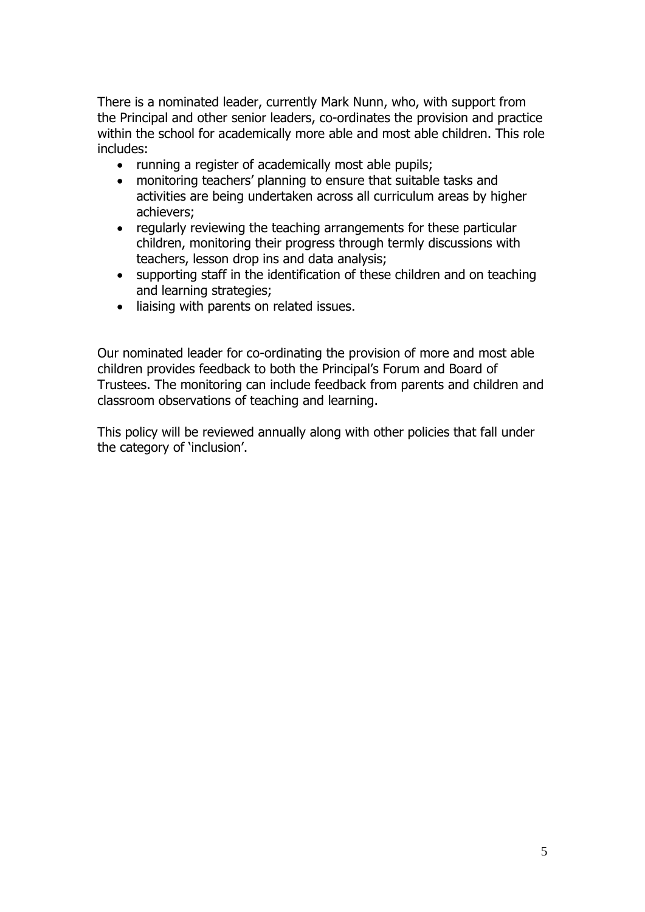There is a nominated leader, currently Mark Nunn, who, with support from the Principal and other senior leaders, co-ordinates the provision and practice within the school for academically more able and most able children. This role includes:

- running a register of academically most able pupils;
- monitoring teachers' planning to ensure that suitable tasks and activities are being undertaken across all curriculum areas by higher achievers;
- regularly reviewing the teaching arrangements for these particular children, monitoring their progress through termly discussions with teachers, lesson drop ins and data analysis;
- supporting staff in the identification of these children and on teaching and learning strategies;
- liaising with parents on related issues.

Our nominated leader for co-ordinating the provision of more and most able children provides feedback to both the Principal's Forum and Board of Trustees. The monitoring can include feedback from parents and children and classroom observations of teaching and learning.

This policy will be reviewed annually along with other policies that fall under the category of 'inclusion'.